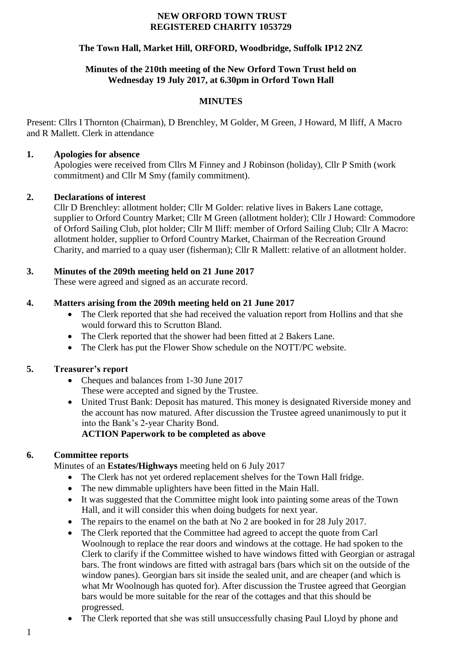#### **NEW ORFORD TOWN TRUST REGISTERED CHARITY 1053729**

### **The Town Hall, Market Hill, ORFORD, Woodbridge, Suffolk IP12 2NZ**

### **Minutes of the 210th meeting of the New Orford Town Trust held on Wednesday 19 July 2017, at 6.30pm in Orford Town Hall**

### **MINUTES**

Present: Cllrs I Thornton (Chairman), D Brenchley, M Golder, M Green, J Howard, M Iliff, A Macro and R Mallett. Clerk in attendance

### **1. Apologies for absence**

Apologies were received from Cllrs M Finney and J Robinson (holiday), Cllr P Smith (work commitment) and Cllr M Smy (family commitment).

### **2. Declarations of interest**

Cllr D Brenchley: allotment holder; Cllr M Golder: relative lives in Bakers Lane cottage, supplier to Orford Country Market; Cllr M Green (allotment holder); Cllr J Howard: Commodore of Orford Sailing Club, plot holder; Cllr M Iliff: member of Orford Sailing Club; Cllr A Macro: allotment holder, supplier to Orford Country Market, Chairman of the Recreation Ground Charity, and married to a quay user (fisherman); Cllr R Mallett: relative of an allotment holder.

# **3. Minutes of the 209th meeting held on 21 June 2017**

These were agreed and signed as an accurate record.

### **4. Matters arising from the 209th meeting held on 21 June 2017**

- The Clerk reported that she had received the valuation report from Hollins and that she would forward this to Scrutton Bland.
- The Clerk reported that the shower had been fitted at 2 Bakers Lane.
- The Clerk has put the Flower Show schedule on the NOTT/PC website.

# **5. Treasurer's report**

- Cheques and balances from 1-30 June 2017 These were accepted and signed by the Trustee.
- United Trust Bank: Deposit has matured. This money is designated Riverside money and the account has now matured. After discussion the Trustee agreed unanimously to put it into the Bank's 2-year Charity Bond.

# **ACTION Paperwork to be completed as above**

# **6. Committee reports**

Minutes of an **Estates/Highways** meeting held on 6 July 2017

- The Clerk has not yet ordered replacement shelves for the Town Hall fridge.
- The new dimmable uplighters have been fitted in the Main Hall.
- It was suggested that the Committee might look into painting some areas of the Town Hall, and it will consider this when doing budgets for next year.
- The repairs to the enamel on the bath at No 2 are booked in for 28 July 2017.
- The Clerk reported that the Committee had agreed to accept the quote from Carl Woolnough to replace the rear doors and windows at the cottage. He had spoken to the Clerk to clarify if the Committee wished to have windows fitted with Georgian or astragal bars. The front windows are fitted with astragal bars (bars which sit on the outside of the window panes). Georgian bars sit inside the sealed unit, and are cheaper (and which is what Mr Woolnough has quoted for). After discussion the Trustee agreed that Georgian bars would be more suitable for the rear of the cottages and that this should be progressed.
- The Clerk reported that she was still unsuccessfully chasing Paul Lloyd by phone and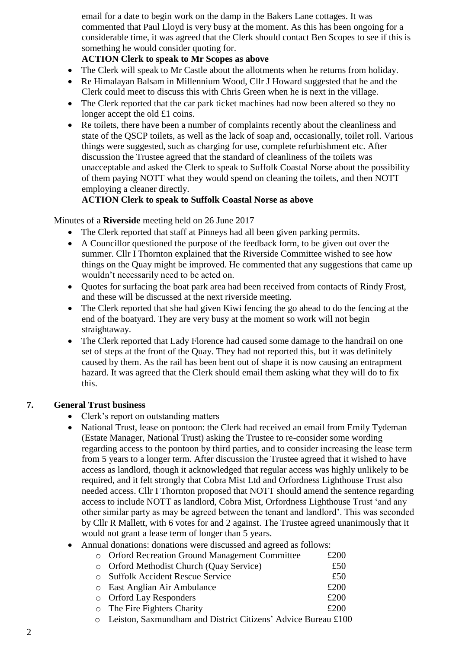email for a date to begin work on the damp in the Bakers Lane cottages. It was commented that Paul Lloyd is very busy at the moment. As this has been ongoing for a considerable time, it was agreed that the Clerk should contact Ben Scopes to see if this is something he would consider quoting for.

### **ACTION Clerk to speak to Mr Scopes as above**

- The Clerk will speak to Mr Castle about the allotments when he returns from holiday.
- Re Himalayan Balsam in Millennium Wood, Cllr J Howard suggested that he and the Clerk could meet to discuss this with Chris Green when he is next in the village.
- The Clerk reported that the car park ticket machines had now been altered so they no longer accept the old £1 coins.
- Re toilets, there have been a number of complaints recently about the cleanliness and state of the QSCP toilets, as well as the lack of soap and, occasionally, toilet roll. Various things were suggested, such as charging for use, complete refurbishment etc. After discussion the Trustee agreed that the standard of cleanliness of the toilets was unacceptable and asked the Clerk to speak to Suffolk Coastal Norse about the possibility of them paying NOTT what they would spend on cleaning the toilets, and then NOTT employing a cleaner directly.

### **ACTION Clerk to speak to Suffolk Coastal Norse as above**

### Minutes of a **Riverside** meeting held on 26 June 2017

- The Clerk reported that staff at Pinneys had all been given parking permits.
- A Councillor questioned the purpose of the feedback form, to be given out over the summer. Cllr I Thornton explained that the Riverside Committee wished to see how things on the Quay might be improved. He commented that any suggestions that came up wouldn't necessarily need to be acted on.
- Quotes for surfacing the boat park area had been received from contacts of Rindy Frost, and these will be discussed at the next riverside meeting.
- The Clerk reported that she had given Kiwi fencing the go ahead to do the fencing at the end of the boatyard. They are very busy at the moment so work will not begin straightaway.
- The Clerk reported that Lady Florence had caused some damage to the handrail on one set of steps at the front of the Quay. They had not reported this, but it was definitely caused by them. As the rail has been bent out of shape it is now causing an entrapment hazard. It was agreed that the Clerk should email them asking what they will do to fix this.

# **7. General Trust business**

- Clerk's report on outstanding matters
- National Trust, lease on pontoon: the Clerk had received an email from Emily Tydeman (Estate Manager, National Trust) asking the Trustee to re-consider some wording regarding access to the pontoon by third parties, and to consider increasing the lease term from 5 years to a longer term. After discussion the Trustee agreed that it wished to have access as landlord, though it acknowledged that regular access was highly unlikely to be required, and it felt strongly that Cobra Mist Ltd and Orfordness Lighthouse Trust also needed access. Cllr I Thornton proposed that NOTT should amend the sentence regarding access to include NOTT as landlord, Cobra Mist, Orfordness Lighthouse Trust 'and any other similar party as may be agreed between the tenant and landlord'. This was seconded by Cllr R Mallett, with 6 votes for and 2 against. The Trustee agreed unanimously that it would not grant a lease term of longer than 5 years.
- Annual donations: donations were discussed and agreed as follows:

| o Orford Recreation Ground Management Committee                                                                                                                                                                                                                                                                                    | £200 |
|------------------------------------------------------------------------------------------------------------------------------------------------------------------------------------------------------------------------------------------------------------------------------------------------------------------------------------|------|
| o Orford Methodist Church (Quay Service)                                                                                                                                                                                                                                                                                           | £50  |
| <b>Suffolk Accident Rescue Service</b>                                                                                                                                                                                                                                                                                             | £50  |
| o East Anglian Air Ambulance                                                                                                                                                                                                                                                                                                       | £200 |
| o Orford Lay Responders                                                                                                                                                                                                                                                                                                            | £200 |
| $\circ$ The Fire Fighters Charity                                                                                                                                                                                                                                                                                                  | £200 |
| $\mathbf{r}$ $\mathbf{r}$ $\mathbf{r}$ $\mathbf{r}$ $\mathbf{r}$ $\mathbf{r}$ $\mathbf{r}$ $\mathbf{r}$ $\mathbf{r}$ $\mathbf{r}$ $\mathbf{r}$ $\mathbf{r}$ $\mathbf{r}$ $\mathbf{r}$ $\mathbf{r}$ $\mathbf{r}$ $\mathbf{r}$ $\mathbf{r}$ $\mathbf{r}$ $\mathbf{r}$ $\mathbf{r}$ $\mathbf{r}$ $\mathbf{r}$ $\mathbf{r}$ $\mathbf{$ |      |

o Leiston, Saxmundham and District Citizens' Advice Bureau £100